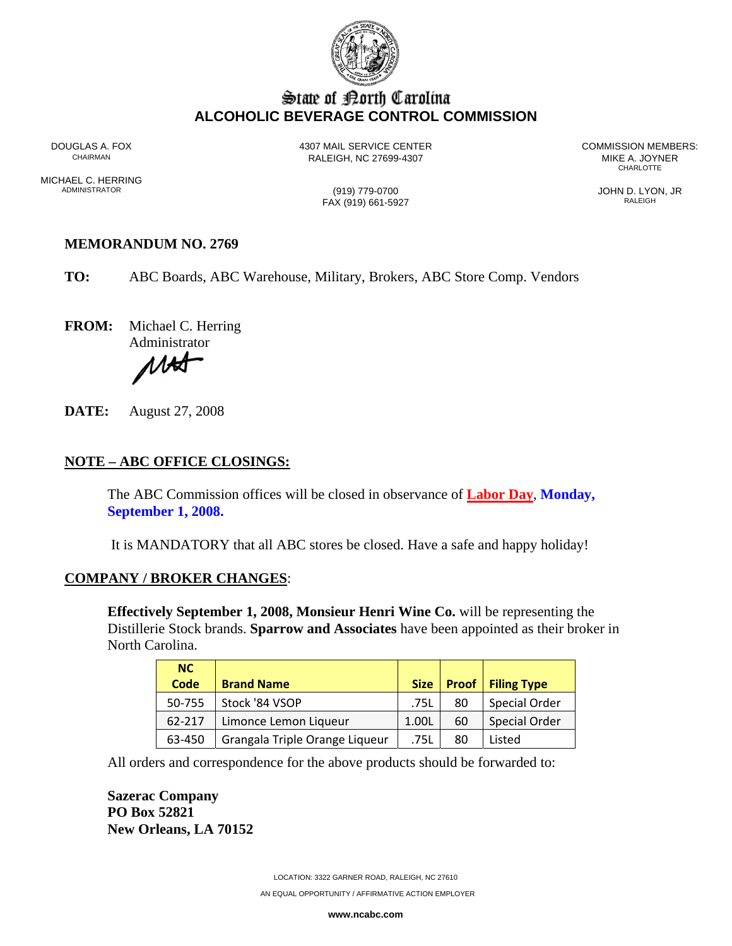

# State of Borth Carolina **ALCOHOLIC BEVERAGE CONTROL COMMISSION**

RALEIGH, NC 27699-4307 MIKE A. JOYNER

DOUGLAS A. FOX 4307 MAIL SERVICE CENTER COMMISSION MEMBERS: **CHARLOTTE** 

MICHAEL C. HERRING<br>ADMINISTRATOR

 $\frac{1019}{779-0700}$  JOHN D. LYON, JR FAX (919) 661-5927

### **MEMORANDUM NO. 2769**

**TO:** ABC Boards, ABC Warehouse, Military, Brokers, ABC Store Comp. Vendors

**FROM:** Michael C. Herring

Administrator

ИH

**DATE:** August 27, 2008

# **NOTE – ABC OFFICE CLOSINGS:**

The ABC Commission offices will be closed in observance of **Labor Day**, **Monday, September 1, 2008.** 

It is MANDATORY that all ABC stores be closed. Have a safe and happy holiday!

#### **COMPANY / BROKER CHANGES**:

**Effectively September 1, 2008, Monsieur Henri Wine Co.** will be representing the Distillerie Stock brands. **Sparrow and Associates** have been appointed as their broker in North Carolina.

| NC.    |                                |             |    |                            |
|--------|--------------------------------|-------------|----|----------------------------|
| Code   | <b>Brand Name</b>              | <b>Size</b> |    | <b>Proof   Filing Type</b> |
| 50-755 | Stock '84 VSOP                 | .75L        | 80 | <b>Special Order</b>       |
| 62-217 | Limonce Lemon Liqueur          | 1.00L       | 60 | <b>Special Order</b>       |
| 63-450 | Grangala Triple Orange Liqueur | .75L        | 80 | Listed                     |

All orders and correspondence for the above products should be forwarded to:

**Sazerac Company PO Box 52821 New Orleans, LA 70152** 

LOCATION: 3322 GARNER ROAD, RALEIGH, NC 27610

AN EQUAL OPPORTUNITY / AFFIRMATIVE ACTION EMPLOYER

**www.ncabc.com**